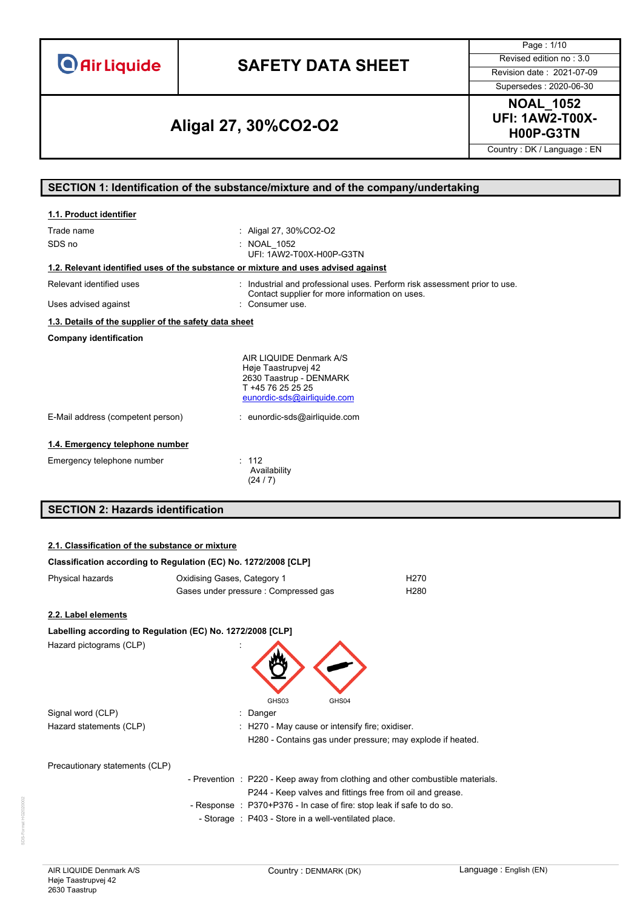# **SAFETY DATA SHEET** Revised edition no : 3.0

Page : 1/10

Supersedes : 2020-06-30

# **H00P-G3TN Aligal 27, 30%CO2-O2**

**NOAL\_1052 UFI: 1AW2-T00X-**

Country : DK / Language : EN

#### **SECTION 1: Identification of the substance/mixture and of the company/undertaking**

| 1.1. Product identifier                                                            |                                                                                                                                                                |
|------------------------------------------------------------------------------------|----------------------------------------------------------------------------------------------------------------------------------------------------------------|
| Trade name<br>SDS no                                                               | : Aligal 27, 30%CO2-O2<br>: NOAL 1052<br>UFI: 1AW2-T00X-H00P-G3TN                                                                                              |
| 1.2. Relevant identified uses of the substance or mixture and uses advised against |                                                                                                                                                                |
| Relevant identified uses                                                           | : Industrial and professional uses. Perform risk assessment prior to use.<br>Contact supplier for more information on uses.                                    |
| Uses advised against                                                               | Consumer use.                                                                                                                                                  |
| 1.3. Details of the supplier of the safety data sheet                              |                                                                                                                                                                |
| <b>Company identification</b>                                                      |                                                                                                                                                                |
| E-Mail address (competent person)                                                  | AIR LIQUIDE Denmark A/S<br>Høje Taastrupvej 42<br>2630 Taastrup - DENMARK<br>T +45 76 25 25 25<br>eunordic-sds@airliquide.com<br>: eunordic-sds@airliquide.com |
|                                                                                    |                                                                                                                                                                |
| 1.4. Emergency telephone number                                                    |                                                                                                                                                                |
| Emergency telephone number                                                         | : 112<br>Availability<br>(24/7)                                                                                                                                |
| <b>SECTION 2: Hazards identification</b>                                           |                                                                                                                                                                |

#### **2.1. Classification of the substance or mixture**

|                                | Classification according to Regulation (EC) No. 1272/2008 [CLP]                                                                             |                                                            |
|--------------------------------|---------------------------------------------------------------------------------------------------------------------------------------------|------------------------------------------------------------|
| Physical hazards               | Oxidising Gases, Category 1                                                                                                                 | H <sub>270</sub>                                           |
|                                | Gases under pressure : Compressed gas                                                                                                       | H <sub>280</sub>                                           |
| 2.2. Label elements            |                                                                                                                                             |                                                            |
|                                | Labelling according to Regulation (EC) No. 1272/2008 [CLP]                                                                                  |                                                            |
| Hazard pictograms (CLP)        |                                                                                                                                             |                                                            |
| Signal word (CLP)              | GHS03<br>GHS04<br>: Danger                                                                                                                  |                                                            |
| Hazard statements (CLP)        | : H270 - May cause or intensify fire; oxidiser.                                                                                             |                                                            |
|                                |                                                                                                                                             | H280 - Contains gas under pressure; may explode if heated. |
| Precautionary statements (CLP) |                                                                                                                                             |                                                            |
|                                | - Prevention : P220 - Keep away from clothing and other combustible materials.<br>P244 - Keep valves and fittings free from oil and grease. |                                                            |
|                                | - Response : P370+P376 - In case of fire: stop leak if safe to do so.                                                                       |                                                            |
|                                | - Storage : P403 - Store in a well-ventilated place.                                                                                        |                                                            |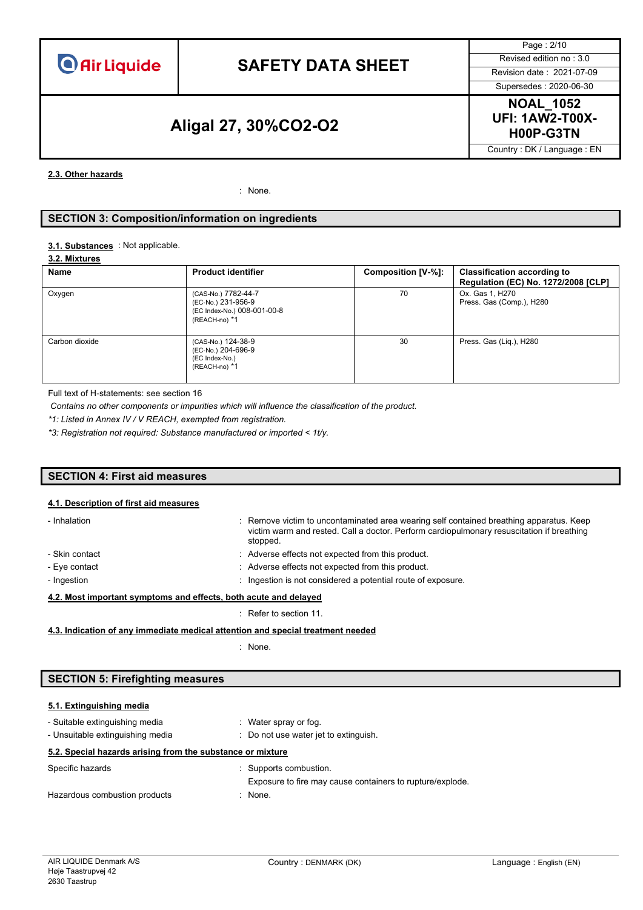# **SAFETY DATA SHEET** Revised edition no : 3.0

Page : 2/10 Supersedes : 2020-06-30

### **H00P-G3TN Aligal 27, 30%CO2-O2**

**NOAL\_1052 UFI: 1AW2-T00X-**

Country : DK / Language : EN

#### **2.3. Other hazards**

: None.

#### **SECTION 3: Composition/information on ingredients**

#### : Not applicable. **3.1. Substances**

#### **3.2. Mixtures**

| Name           | <b>Product identifier</b>                                                                 | Composition [V-%]: | <b>Classification according to</b><br>Regulation (EC) No. 1272/2008 [CLP] |
|----------------|-------------------------------------------------------------------------------------------|--------------------|---------------------------------------------------------------------------|
| Oxygen         | (CAS-No.) 7782-44-7<br>(EC-No.) 231-956-9<br>(EC Index-No.) 008-001-00-8<br>(REACH-no) *1 | 70                 | Ox. Gas 1, H270<br>Press. Gas (Comp.), H280                               |
| Carbon dioxide | (CAS-No.) 124-38-9<br>(EC-No.) 204-696-9<br>(EC Index-No.)<br>(REACH-no) *1               | 30                 | Press. Gas (Lig.), H280                                                   |

Full text of H-statements: see section 16

*Contains no other components or impurities which will influence the classification of the product.*

*\*1: Listed in Annex IV / V REACH, exempted from registration.*

*\*3: Registration not required: Substance manufactured or imported < 1t/y.*

#### **SECTION 4: First aid measures**

#### **4.1. Description of first aid measures**

| - Inhalation                                                     | : Remove victim to uncontaminated area wearing self contained breathing apparatus. Keep<br>victim warm and rested. Call a doctor. Perform cardiopulmonary resuscitation if breathing<br>stopped. |  |
|------------------------------------------------------------------|--------------------------------------------------------------------------------------------------------------------------------------------------------------------------------------------------|--|
| - Skin contact                                                   | : Adverse effects not expected from this product.                                                                                                                                                |  |
| - Eye contact                                                    | : Adverse effects not expected from this product.                                                                                                                                                |  |
| - Ingestion                                                      | : Ingestion is not considered a potential route of exposure.                                                                                                                                     |  |
| 4.2. Most important symptoms and effects, both acute and delayed |                                                                                                                                                                                                  |  |

: Refer to section 11.

**4.3. Indication of any immediate medical attention and special treatment needed**

: None.

#### **SECTION 5: Firefighting measures**

#### **5.1. Extinguishing media**

| - Suitable extinguishing media                             |                                       | : Water spray or fog.                                                               |
|------------------------------------------------------------|---------------------------------------|-------------------------------------------------------------------------------------|
| - Unsuitable extinguishing media                           | : Do not use water jet to extinguish. |                                                                                     |
| 5.2. Special hazards arising from the substance or mixture |                                       |                                                                                     |
| Specific hazards                                           |                                       | : Supports combustion.<br>Exposure to fire may cause containers to rupture/explode. |
| Hazardous combustion products                              |                                       | : None.                                                                             |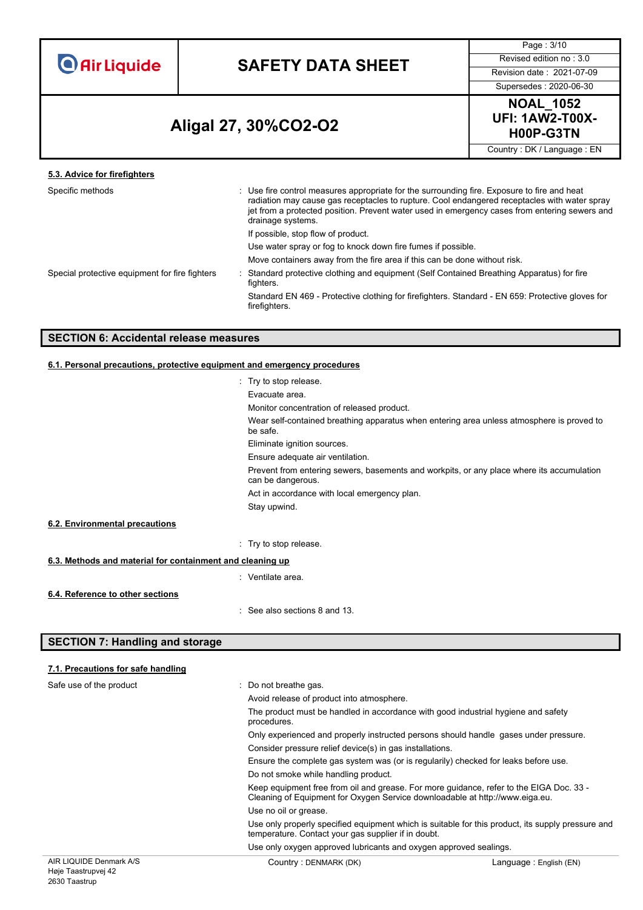## **SAFETY DATA SHEET** Revised edition no : 3.0

Page : 3/10

Supersedes : 2020-06-30

## **H00P-G3TN Aligal 27, 30%CO2-O2**



Country : DK / Language : EN

| 5.3. Advice for firefighters                   |                                                                                                                                                                                                                                                                                                                   |  |
|------------------------------------------------|-------------------------------------------------------------------------------------------------------------------------------------------------------------------------------------------------------------------------------------------------------------------------------------------------------------------|--|
| Specific methods                               | : Use fire control measures appropriate for the surrounding fire. Exposure to fire and heat<br>radiation may cause gas receptacles to rupture. Cool endangered receptacles with water spray<br>jet from a protected position. Prevent water used in emergency cases from entering sewers and<br>drainage systems. |  |
|                                                | If possible, stop flow of product.                                                                                                                                                                                                                                                                                |  |
|                                                | Use water spray or fog to knock down fire fumes if possible.                                                                                                                                                                                                                                                      |  |
|                                                | Move containers away from the fire area if this can be done without risk.                                                                                                                                                                                                                                         |  |
| Special protective equipment for fire fighters | Standard protective clothing and equipment (Self Contained Breathing Apparatus) for fire<br>fighters.                                                                                                                                                                                                             |  |
|                                                | Standard EN 469 - Protective clothing for firefighters. Standard - EN 659: Protective gloves for<br>firefighters.                                                                                                                                                                                                 |  |
|                                                |                                                                                                                                                                                                                                                                                                                   |  |

#### **SECTION 6: Accidental release measures**

#### **6.1. Personal precautions, protective equipment and emergency procedures**

|                                                           | : Try to stop release.                                                                                         |
|-----------------------------------------------------------|----------------------------------------------------------------------------------------------------------------|
|                                                           | Evacuate area.                                                                                                 |
|                                                           | Monitor concentration of released product.                                                                     |
|                                                           | Wear self-contained breathing apparatus when entering area unless atmosphere is proved to<br>be safe.          |
|                                                           | Eliminate ignition sources.                                                                                    |
|                                                           | Ensure adequate air ventilation.                                                                               |
|                                                           | Prevent from entering sewers, basements and workpits, or any place where its accumulation<br>can be dangerous. |
|                                                           | Act in accordance with local emergency plan.                                                                   |
|                                                           | Stay upwind.                                                                                                   |
| 6.2. Environmental precautions                            |                                                                                                                |
|                                                           | : Try to stop release.                                                                                         |
| 6.3. Methods and material for containment and cleaning up |                                                                                                                |
|                                                           | : Ventilate area.                                                                                              |
| 6.4. Reference to other sections                          |                                                                                                                |
|                                                           | : See also sections 8 and 13.                                                                                  |

#### **SECTION 7: Handling and storage**

2630 Taastrup

#### AIR LIQUIDE Denmark A/S Høje Taastrupvej 42 Country : DENMARK (DK) Country : DENMARK (DK) **7.1. Precautions for safe handling** Safe use of the product : Do not breathe gas. Avoid release of product into atmosphere. The product must be handled in accordance with good industrial hygiene and safety procedures. Only experienced and properly instructed persons should handle gases under pressure. Consider pressure relief device(s) in gas installations. Ensure the complete gas system was (or is regularily) checked for leaks before use. Do not smoke while handling product. Keep equipment free from oil and grease. For more guidance, refer to the EIGA Doc. 33 - Cleaning of Equipment for Oxygen Service downloadable at http://www.eiga.eu. Use no oil or grease. Use only properly specified equipment which is suitable for this product, its supply pressure and temperature. Contact your gas supplier if in doubt. Use only oxygen approved lubricants and oxygen approved sealings.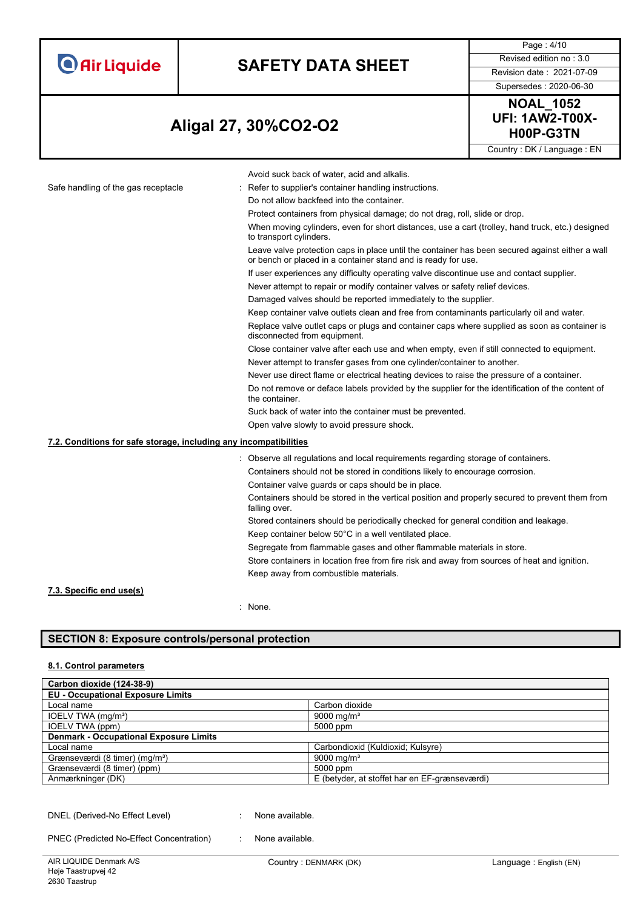| <b>O</b> Air Liquide |  |  |
|----------------------|--|--|
|                      |  |  |

# **SAFETY DATA SHEET** Revised edition no : 3.0

Page : 4/10

Supersedes : 2020-06-30

## **H00P-G3TN Aligal 27, 30%CO2-O2**



Country : DK / Language : EN

|                                                                   | Avoid suck back of water, acid and alkalis.                                                                                                                      |
|-------------------------------------------------------------------|------------------------------------------------------------------------------------------------------------------------------------------------------------------|
| Safe handling of the gas receptacle                               | Refer to supplier's container handling instructions.                                                                                                             |
|                                                                   | Do not allow backfeed into the container.                                                                                                                        |
|                                                                   | Protect containers from physical damage; do not drag, roll, slide or drop.                                                                                       |
|                                                                   | When moving cylinders, even for short distances, use a cart (trolley, hand truck, etc.) designed<br>to transport cylinders.                                      |
|                                                                   | Leave valve protection caps in place until the container has been secured against either a wall<br>or bench or placed in a container stand and is ready for use. |
|                                                                   | If user experiences any difficulty operating valve discontinue use and contact supplier.                                                                         |
|                                                                   | Never attempt to repair or modify container valves or safety relief devices.                                                                                     |
|                                                                   | Damaged valves should be reported immediately to the supplier.                                                                                                   |
|                                                                   | Keep container valve outlets clean and free from contaminants particularly oil and water.                                                                        |
|                                                                   | Replace valve outlet caps or plugs and container caps where supplied as soon as container is<br>disconnected from equipment.                                     |
|                                                                   | Close container valve after each use and when empty, even if still connected to equipment.                                                                       |
|                                                                   | Never attempt to transfer gases from one cylinder/container to another.                                                                                          |
|                                                                   | Never use direct flame or electrical heating devices to raise the pressure of a container.                                                                       |
|                                                                   | Do not remove or deface labels provided by the supplier for the identification of the content of<br>the container.                                               |
|                                                                   | Suck back of water into the container must be prevented.                                                                                                         |
|                                                                   | Open valve slowly to avoid pressure shock.                                                                                                                       |
| 7.2. Conditions for safe storage, including any incompatibilities |                                                                                                                                                                  |
|                                                                   | : Observe all regulations and local requirements regarding storage of containers.                                                                                |
|                                                                   | Containers should not be stored in conditions likely to encourage corrosion.                                                                                     |
|                                                                   | Container valve guards or caps should be in place.                                                                                                               |
|                                                                   | Containers should be stored in the vertical position and properly secured to prevent them from<br>falling over.                                                  |
|                                                                   | Stored containers should be periodically checked for general condition and leakage.                                                                              |
|                                                                   | Keep container below 50°C in a well ventilated place.                                                                                                            |
|                                                                   | Segregate from flammable gases and other flammable materials in store.                                                                                           |
|                                                                   | Store containers in location free from fire risk and away from sources of heat and ignition.                                                                     |
|                                                                   | Keep away from combustible materials.                                                                                                                            |
| 7.3. Specific end use(s)                                          |                                                                                                                                                                  |
|                                                                   |                                                                                                                                                                  |

: None.

#### **SECTION 8: Exposure controls/personal protection**

#### **8.1. Control parameters**

| Carbon dioxide (124-38-9)                     |                                               |
|-----------------------------------------------|-----------------------------------------------|
| <b>EU - Occupational Exposure Limits</b>      |                                               |
| Local name                                    | Carbon dioxide                                |
| IOELV TWA (mg/m <sup>3</sup> )                | 9000 mg/m <sup>3</sup>                        |
| IOELV TWA (ppm)                               | 5000 ppm                                      |
| <b>Denmark - Occupational Exposure Limits</b> |                                               |
| Local name                                    | Carbondioxid (Kuldioxid; Kulsyre)             |
| Grænseværdi (8 timer) (mg/m <sup>3</sup> )    | 9000 mg/m <sup>3</sup>                        |
| Grænseværdi (8 timer) (ppm)                   | 5000 ppm                                      |
| Anmærkninger (DK)                             | E (betyder, at stoffet har en EF-grænseværdi) |

DNEL (Derived-No Effect Level) : None available.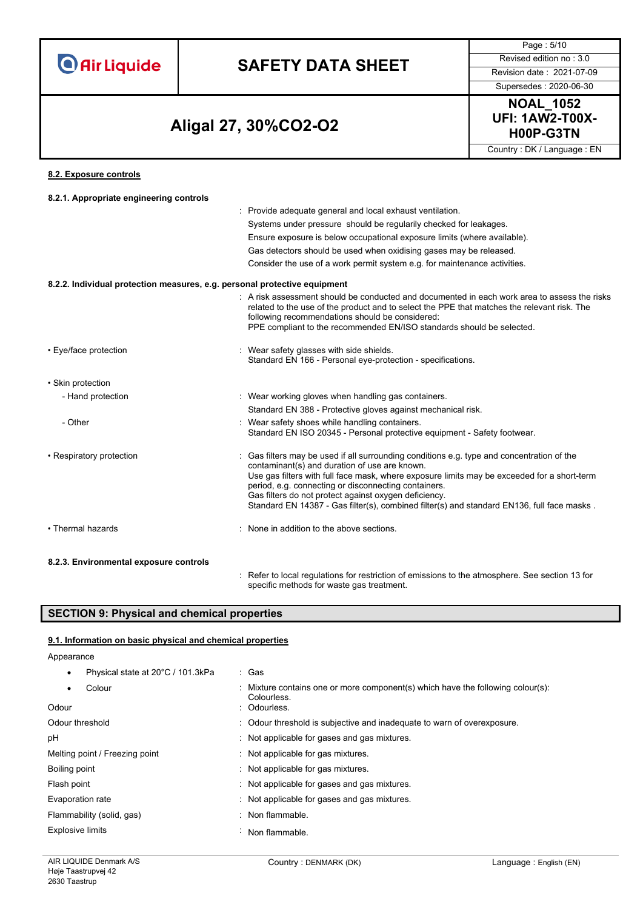# **SAFETY DATA SHEET** Revised edition no : 3.0

Page : 5/10

### **H00P-G3TN Aligal 27, 30%CO2-O2**



Country : DK / Language : EN

#### **8.2. Exposure controls**

| 8.2.1. Appropriate engineering controls                                   |                                                                                                                                                                                                                                                                                                                                                                                                                                                         |
|---------------------------------------------------------------------------|---------------------------------------------------------------------------------------------------------------------------------------------------------------------------------------------------------------------------------------------------------------------------------------------------------------------------------------------------------------------------------------------------------------------------------------------------------|
|                                                                           | : Provide adequate general and local exhaust ventilation.                                                                                                                                                                                                                                                                                                                                                                                               |
|                                                                           | Systems under pressure should be regularily checked for leakages.                                                                                                                                                                                                                                                                                                                                                                                       |
|                                                                           | Ensure exposure is below occupational exposure limits (where available).                                                                                                                                                                                                                                                                                                                                                                                |
|                                                                           | Gas detectors should be used when oxidising gases may be released.                                                                                                                                                                                                                                                                                                                                                                                      |
|                                                                           | Consider the use of a work permit system e.g. for maintenance activities.                                                                                                                                                                                                                                                                                                                                                                               |
| 8.2.2. Individual protection measures, e.g. personal protective equipment |                                                                                                                                                                                                                                                                                                                                                                                                                                                         |
|                                                                           | . A risk assessment should be conducted and documented in each work area to assess the risks<br>related to the use of the product and to select the PPE that matches the relevant risk. The<br>following recommendations should be considered:<br>PPE compliant to the recommended EN/ISO standards should be selected.                                                                                                                                 |
| • Eye/face protection                                                     | : Wear safety glasses with side shields.<br>Standard EN 166 - Personal eye-protection - specifications.                                                                                                                                                                                                                                                                                                                                                 |
| • Skin protection                                                         |                                                                                                                                                                                                                                                                                                                                                                                                                                                         |
| - Hand protection                                                         | : Wear working gloves when handling gas containers.                                                                                                                                                                                                                                                                                                                                                                                                     |
|                                                                           | Standard EN 388 - Protective gloves against mechanical risk.                                                                                                                                                                                                                                                                                                                                                                                            |
| - Other                                                                   | : Wear safety shoes while handling containers.<br>Standard EN ISO 20345 - Personal protective equipment - Safety footwear.                                                                                                                                                                                                                                                                                                                              |
| • Respiratory protection                                                  | Gas filters may be used if all surrounding conditions e.g. type and concentration of the<br>contaminant(s) and duration of use are known.<br>Use gas filters with full face mask, where exposure limits may be exceeded for a short-term<br>period, e.g. connecting or disconnecting containers.<br>Gas filters do not protect against oxygen deficiency.<br>Standard EN 14387 - Gas filter(s), combined filter(s) and standard EN136, full face masks. |
| • Thermal hazards                                                         | : None in addition to the above sections.                                                                                                                                                                                                                                                                                                                                                                                                               |
| 8.2.3. Environmental exposure controls                                    |                                                                                                                                                                                                                                                                                                                                                                                                                                                         |
|                                                                           | Refer to local regulations for restriction of emissions to the atmosphere. See section 13 for                                                                                                                                                                                                                                                                                                                                                           |

specific methods for waste gas treatment.

#### **SECTION 9: Physical and chemical properties**

#### **9.1. Information on basic physical and chemical properties**

#### Appearance

| Physical state at 20°C / 101.3kPa | : Gas                                                                                          |
|-----------------------------------|------------------------------------------------------------------------------------------------|
| Colour                            | : Mixture contains one or more component(s) which have the following colour(s):<br>Colourless. |
| Odour                             | : Odourless.                                                                                   |
| Odour threshold                   | : Odour threshold is subjective and inadequate to warn of overexposure.                        |
| рH                                | Not applicable for gases and gas mixtures.                                                     |
| Melting point / Freezing point    | : Not applicable for gas mixtures.                                                             |
| Boiling point                     | Not applicable for gas mixtures.                                                               |
| Flash point                       | : Not applicable for gases and gas mixtures.                                                   |
| Evaporation rate                  | : Not applicable for gases and gas mixtures.                                                   |
| Flammability (solid, gas)         | : Non flammable.                                                                               |
| Explosive limits                  | Non flammable.                                                                                 |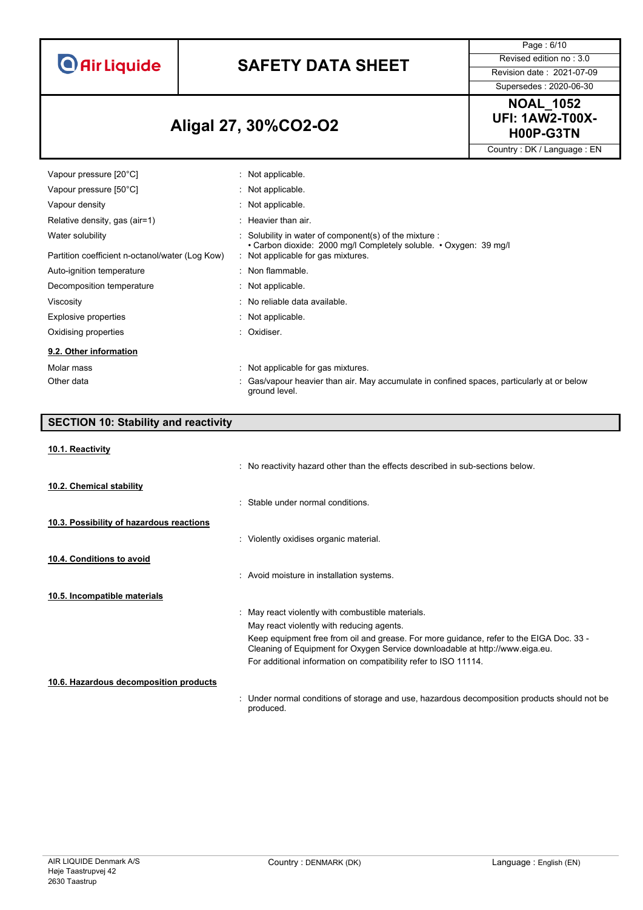# **SAFETY DATA SHEET** Revised edition no : 3.0

Page : 6/10

Supersedes : 2020-06-30

### **H00P-G3TN Aligal 27, 30%CO2-O2**



Country : DK / Language : EN

| Vapour pressure [20°C]                          | $:$ Not applicable.                                                                                                                               |
|-------------------------------------------------|---------------------------------------------------------------------------------------------------------------------------------------------------|
| Vapour pressure [50°C]                          | $:$ Not applicable.                                                                                                                               |
| Vapour density                                  | $\therefore$ Not applicable.                                                                                                                      |
| Relative density, gas (air=1)                   | $\therefore$ Heavier than air.                                                                                                                    |
| Water solubility                                | $\therefore$ Solubility in water of component(s) of the mixture $\therefore$<br>• Carbon dioxide: 2000 mg/l Completely soluble. • Oxygen: 39 mg/l |
| Partition coefficient n-octanol/water (Log Kow) | Not applicable for gas mixtures.                                                                                                                  |
| Auto-ignition temperature                       | : Non flammable.                                                                                                                                  |
| Decomposition temperature                       | $:$ Not applicable.                                                                                                                               |
| Viscosity                                       | : No reliable data available.                                                                                                                     |
| Explosive properties                            | $:$ Not applicable.                                                                                                                               |
| Oxidising properties                            | : Oxidiser.                                                                                                                                       |
| 9.2. Other information                          |                                                                                                                                                   |
| Molar mass                                      | : Not applicable for gas mixtures.                                                                                                                |
| Other data                                      | : Gas/vapour heavier than air. May accumulate in confined spaces, particularly at or below<br>ground level.                                       |

| <b>SECTION 10: Stability and reactivity</b> |                                                                                                                                                                         |
|---------------------------------------------|-------------------------------------------------------------------------------------------------------------------------------------------------------------------------|
| 10.1. Reactivity                            |                                                                                                                                                                         |
|                                             | : No reactivity hazard other than the effects described in sub-sections below.                                                                                          |
| 10.2. Chemical stability                    |                                                                                                                                                                         |
|                                             | Stable under normal conditions.                                                                                                                                         |
| 10.3. Possibility of hazardous reactions    |                                                                                                                                                                         |
|                                             | : Violently oxidises organic material.                                                                                                                                  |
| 10.4. Conditions to avoid                   |                                                                                                                                                                         |
|                                             | : Avoid moisture in installation systems.                                                                                                                               |
| 10.5. Incompatible materials                |                                                                                                                                                                         |
|                                             | : May react violently with combustible materials.                                                                                                                       |
|                                             | May react violently with reducing agents.                                                                                                                               |
|                                             | Keep equipment free from oil and grease. For more guidance, refer to the EIGA Doc. 33 -<br>Cleaning of Equipment for Oxygen Service downloadable at http://www.eiga.eu. |
|                                             | For additional information on compatibility refer to ISO 11114.                                                                                                         |
| 10.6. Hazardous decomposition products      |                                                                                                                                                                         |
|                                             | Under normal conditions of storage and use, hazardous decomposition products should not be<br>produced.                                                                 |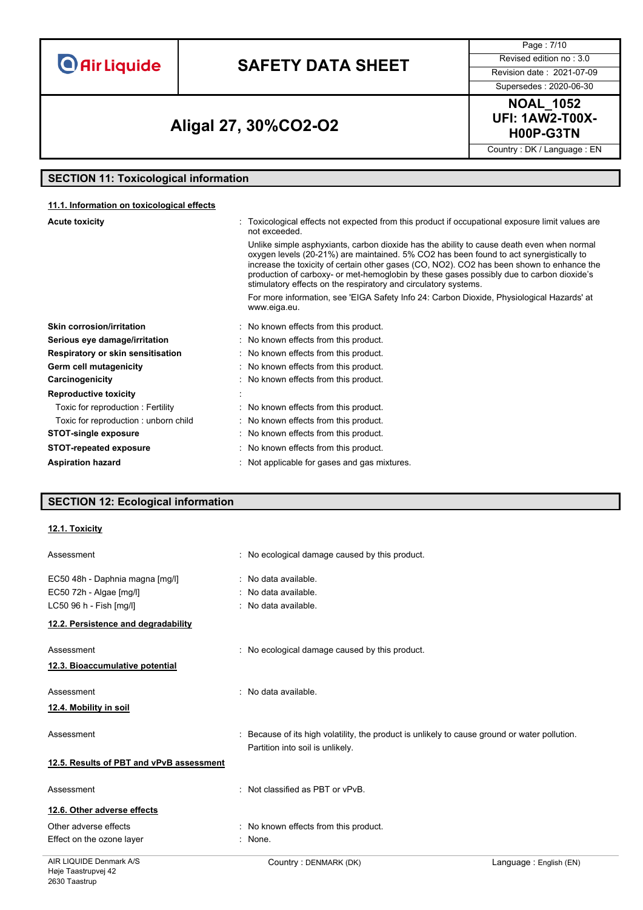# **SAFETY DATA SHEET** Revised edition no : 3.0

Supersedes : 2020-06-30

Page : 7/10

### **H00P-G3TN Aligal 27, 30%CO2-O2**

**NOAL\_1052 UFI: 1AW2-T00X-**

Country : DK / Language : EN

### **SECTION 11: Toxicological information**

#### **11.1. Information on toxicological effects**

| <b>Acute toxicity</b>                | : Toxicological effects not expected from this product if occupational exposure limit values are<br>not exceeded.                                                                                                                                                                                                                                                                                                                               |
|--------------------------------------|-------------------------------------------------------------------------------------------------------------------------------------------------------------------------------------------------------------------------------------------------------------------------------------------------------------------------------------------------------------------------------------------------------------------------------------------------|
|                                      | Unlike simple asphyxiants, carbon dioxide has the ability to cause death even when normal<br>oxygen levels (20-21%) are maintained. 5% CO2 has been found to act synergistically to<br>increase the toxicity of certain other gases (CO, NO2). CO2 has been shown to enhance the<br>production of carboxy- or met-hemoglobin by these gases possibly due to carbon dioxide's<br>stimulatory effects on the respiratory and circulatory systems. |
|                                      | For more information, see 'EIGA Safety Info 24: Carbon Dioxide, Physiological Hazards' at<br>www.eiga.eu.                                                                                                                                                                                                                                                                                                                                       |
| Skin corrosion/irritation            | : No known effects from this product.                                                                                                                                                                                                                                                                                                                                                                                                           |
| Serious eye damage/irritation        | : No known effects from this product.                                                                                                                                                                                                                                                                                                                                                                                                           |
| Respiratory or skin sensitisation    | : No known effects from this product.                                                                                                                                                                                                                                                                                                                                                                                                           |
| Germ cell mutagenicity               | : No known effects from this product.                                                                                                                                                                                                                                                                                                                                                                                                           |
| Carcinogenicity                      | : No known effects from this product.                                                                                                                                                                                                                                                                                                                                                                                                           |
| <b>Reproductive toxicity</b>         |                                                                                                                                                                                                                                                                                                                                                                                                                                                 |
| Toxic for reproduction: Fertility    | : No known effects from this product.                                                                                                                                                                                                                                                                                                                                                                                                           |
| Toxic for reproduction: unborn child | : No known effects from this product.                                                                                                                                                                                                                                                                                                                                                                                                           |
| <b>STOT-single exposure</b>          | : No known effects from this product.                                                                                                                                                                                                                                                                                                                                                                                                           |
| <b>STOT-repeated exposure</b>        | : No known effects from this product.                                                                                                                                                                                                                                                                                                                                                                                                           |
| <b>Aspiration hazard</b>             | : Not applicable for gases and gas mixtures.                                                                                                                                                                                                                                                                                                                                                                                                    |

#### **SECTION 12: Ecological information**

#### **12.1. Toxicity**

| Assessment                               | : No ecological damage caused by this product.                                                                                    |
|------------------------------------------|-----------------------------------------------------------------------------------------------------------------------------------|
| EC50 48h - Daphnia magna [mg/l]          | No data available.                                                                                                                |
| EC50 72h - Algae [mg/l]                  | : No data available.                                                                                                              |
| LC50 96 h - Fish [mg/l]                  | : No data available.                                                                                                              |
| 12.2. Persistence and degradability      |                                                                                                                                   |
| Assessment                               | : No ecological damage caused by this product.                                                                                    |
| 12.3. Bioaccumulative potential          |                                                                                                                                   |
| Assessment                               | : No data available.                                                                                                              |
| 12.4. Mobility in soil                   |                                                                                                                                   |
| Assessment                               | : Because of its high volatility, the product is unlikely to cause ground or water pollution.<br>Partition into soil is unlikely. |
| 12.5. Results of PBT and vPvB assessment |                                                                                                                                   |
| Assessment                               | : Not classified as PBT or vPvB.                                                                                                  |
| 12.6. Other adverse effects              |                                                                                                                                   |
| Other adverse effects                    | : No known effects from this product.                                                                                             |
| Effect on the ozone layer                | $:$ None.                                                                                                                         |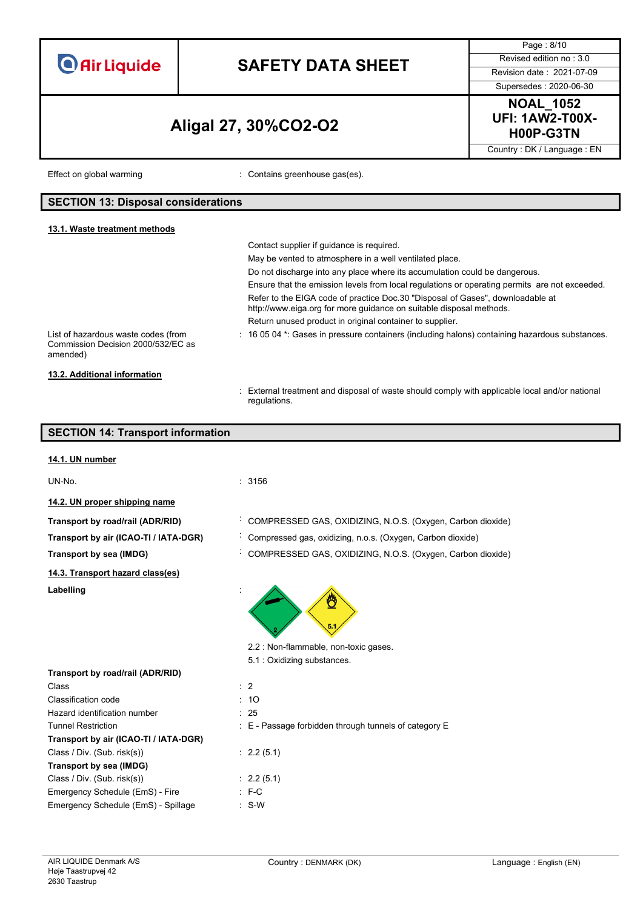|                                                                                                                                                                                                                                                   |                                                                                                                                                       | Page: 8/10                                              |
|---------------------------------------------------------------------------------------------------------------------------------------------------------------------------------------------------------------------------------------------------|-------------------------------------------------------------------------------------------------------------------------------------------------------|---------------------------------------------------------|
| <b>O</b> Air Liquide                                                                                                                                                                                                                              |                                                                                                                                                       | Revised edition no: 3.0                                 |
|                                                                                                                                                                                                                                                   | <b>SAFETY DATA SHEET</b>                                                                                                                              | Revision date: 2021-07-09                               |
|                                                                                                                                                                                                                                                   |                                                                                                                                                       | Supersedes: 2020-06-30                                  |
|                                                                                                                                                                                                                                                   | Aligal 27, 30%CO2-O2                                                                                                                                  | <b>NOAL_1052</b><br><b>UFI: 1AW2-T00X-</b><br>H00P-G3TN |
|                                                                                                                                                                                                                                                   |                                                                                                                                                       | Country: DK / Language: EN                              |
| Effect on global warming                                                                                                                                                                                                                          | : Contains greenhouse gas(es).                                                                                                                        |                                                         |
| <b>SECTION 13: Disposal considerations</b>                                                                                                                                                                                                        |                                                                                                                                                       |                                                         |
| 13.1. Waste treatment methods                                                                                                                                                                                                                     | Contact supplier if quidance is required.                                                                                                             |                                                         |
|                                                                                                                                                                                                                                                   | May be vented to atmosphere in a well ventilated place.                                                                                               |                                                         |
|                                                                                                                                                                                                                                                   | Do not discharge into any place where its accumulation could be dangerous.                                                                            |                                                         |
|                                                                                                                                                                                                                                                   | Ensure that the emission levels from local regulations or operating permits are not exceeded.                                                         |                                                         |
|                                                                                                                                                                                                                                                   | Refer to the EIGA code of practice Doc.30 "Disposal of Gases", downloadable at<br>http://www.eiga.org for more guidance on suitable disposal methods. |                                                         |
|                                                                                                                                                                                                                                                   | Return unused product in original container to supplier.                                                                                              |                                                         |
| List of hazardous waste codes (from<br>Commission Decision 2000/532/EC as<br>amended)                                                                                                                                                             | : 16 05 04 *: Gases in pressure containers (including halons) containing hazardous substances.                                                        |                                                         |
| 13.2. Additional information                                                                                                                                                                                                                      |                                                                                                                                                       |                                                         |
|                                                                                                                                                                                                                                                   | : External treatment and disposal of waste should comply with applicable local and/or national                                                        |                                                         |
|                                                                                                                                                                                                                                                   | regulations.                                                                                                                                          |                                                         |
| <b>SECTION 14: Transport information</b>                                                                                                                                                                                                          |                                                                                                                                                       |                                                         |
|                                                                                                                                                                                                                                                   |                                                                                                                                                       |                                                         |
| 14.1. UN number                                                                                                                                                                                                                                   |                                                                                                                                                       |                                                         |
|                                                                                                                                                                                                                                                   |                                                                                                                                                       |                                                         |
|                                                                                                                                                                                                                                                   | : 3156                                                                                                                                                |                                                         |
|                                                                                                                                                                                                                                                   |                                                                                                                                                       |                                                         |
|                                                                                                                                                                                                                                                   | COMPRESSED GAS, OXIDIZING, N.O.S. (Oxygen, Carbon dioxide)                                                                                            |                                                         |
|                                                                                                                                                                                                                                                   | Compressed gas, oxidizing, n.o.s. (Oxygen, Carbon dioxide)                                                                                            |                                                         |
|                                                                                                                                                                                                                                                   | COMPRESSED GAS, OXIDIZING, N.O.S. (Oxygen, Carbon dioxide)                                                                                            |                                                         |
|                                                                                                                                                                                                                                                   |                                                                                                                                                       |                                                         |
| UN-No.<br>14.2. UN proper shipping name<br>Transport by road/rail (ADR/RID)<br>Transport by air (ICAO-TI / IATA-DGR)<br><b>Transport by sea (IMDG)</b><br>14.3. Transport hazard class(es)<br>Labelling                                           |                                                                                                                                                       |                                                         |
|                                                                                                                                                                                                                                                   |                                                                                                                                                       |                                                         |
|                                                                                                                                                                                                                                                   | 2.2 : Non-flammable, non-toxic gases.                                                                                                                 |                                                         |
|                                                                                                                                                                                                                                                   | 5.1 : Oxidizing substances.                                                                                                                           |                                                         |
|                                                                                                                                                                                                                                                   |                                                                                                                                                       |                                                         |
|                                                                                                                                                                                                                                                   | $\therefore$ 2                                                                                                                                        |                                                         |
|                                                                                                                                                                                                                                                   | : 10                                                                                                                                                  |                                                         |
|                                                                                                                                                                                                                                                   | : 25                                                                                                                                                  |                                                         |
| Class<br><b>Classification code</b>                                                                                                                                                                                                               | : E - Passage forbidden through tunnels of category E                                                                                                 |                                                         |
|                                                                                                                                                                                                                                                   | : 2.2(5.1)                                                                                                                                            |                                                         |
|                                                                                                                                                                                                                                                   |                                                                                                                                                       |                                                         |
| <b>Tunnel Restriction</b><br><b>Transport by sea (IMDG)</b>                                                                                                                                                                                       | : 2.2(5.1)                                                                                                                                            |                                                         |
| Transport by road/rail (ADR/RID)<br>Hazard identification number<br>Transport by air (ICAO-TI / IATA-DGR)<br>Class / Div. (Sub. risk(s))<br>Class / Div. (Sub. risk(s))<br>Emergency Schedule (EmS) - Fire<br>Emergency Schedule (EmS) - Spillage | $: F-C$                                                                                                                                               |                                                         |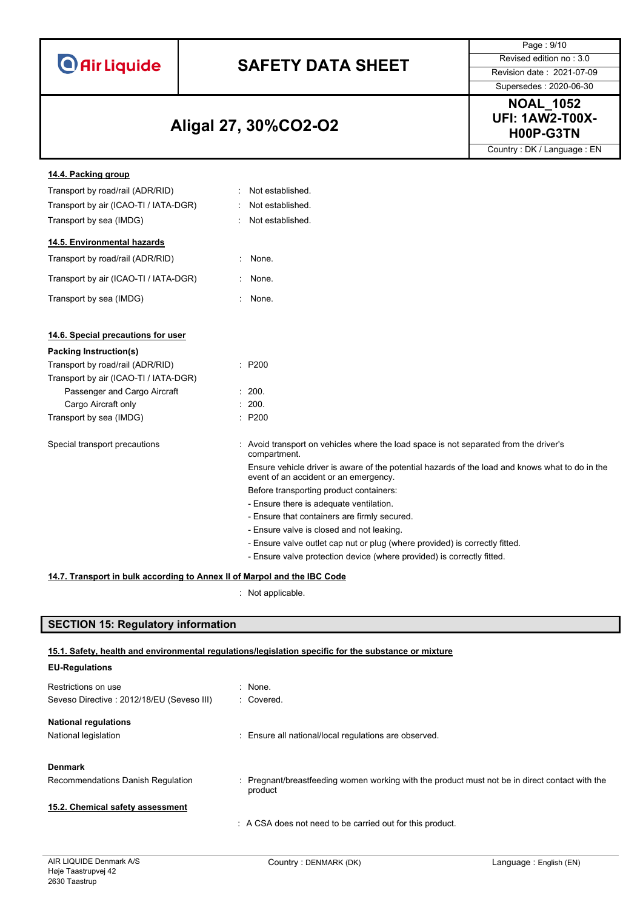|  |  | <b>O</b> Air Liquide |
|--|--|----------------------|

# **SAFETY DATA SHEET** Revised edition no : 3.0

Supersedes : 2020-06-30

Page : 9/10

### **H00P-G3TN Aligal 27, 30%CO2-O2**

**NOAL\_1052 UFI: 1AW2-T00X-**

Country : DK / Language : EN

| 14.4. Packing group                   |        |                                                                                                                                          |
|---------------------------------------|--------|------------------------------------------------------------------------------------------------------------------------------------------|
| Transport by road/rail (ADR/RID)      |        | : Not established.                                                                                                                       |
| Transport by air (ICAO-TI / IATA-DGR) |        | Not established.                                                                                                                         |
| Transport by sea (IMDG)               |        | Not established.                                                                                                                         |
| 14.5. Environmental hazards           |        |                                                                                                                                          |
| Transport by road/rail (ADR/RID)      |        | None.                                                                                                                                    |
| Transport by air (ICAO-TI / IATA-DGR) | ÷.     | None.                                                                                                                                    |
| Transport by sea (IMDG)               | $\sim$ | None.                                                                                                                                    |
| 14.6. Special precautions for user    |        |                                                                                                                                          |
| Packing Instruction(s)                |        |                                                                                                                                          |
| Transport by road/rail (ADR/RID)      |        | $\therefore$ P200                                                                                                                        |
| Transport by air (ICAO-TI / IATA-DGR) |        |                                                                                                                                          |
| Passenger and Cargo Aircraft          |        | : 200.                                                                                                                                   |
| Cargo Aircraft only                   |        | : 200.                                                                                                                                   |
| Transport by sea (IMDG)               |        | : P200                                                                                                                                   |
| Special transport precautions         |        | : Avoid transport on vehicles where the load space is not separated from the driver's<br>compartment.                                    |
|                                       |        | Ensure vehicle driver is aware of the potential hazards of the load and knows what to do in the<br>event of an accident or an emergency. |
|                                       |        | Before transporting product containers:                                                                                                  |
|                                       |        | - Ensure there is adequate ventilation.                                                                                                  |
|                                       |        | - Ensure that containers are firmly secured.                                                                                             |
|                                       |        | - Ensure valve is closed and not leaking.                                                                                                |
|                                       |        | - Ensure valve outlet cap nut or plug (where provided) is correctly fitted.                                                              |
|                                       |        | - Ensure valve protection device (where provided) is correctly fitted.                                                                   |

#### **14.7. Transport in bulk according to Annex II of Marpol and the IBC Code**

: Not applicable.

#### **SECTION 15: Regulatory information**

#### **15.1. Safety, health and environmental regulations/legislation specific for the substance or mixture**

| <b>EU-Regulations</b>                     |                                                                                                           |
|-------------------------------------------|-----------------------------------------------------------------------------------------------------------|
| Restrictions on use                       | $\therefore$ None.                                                                                        |
| Seveso Directive: 2012/18/EU (Seveso III) | : Covered.                                                                                                |
| <b>National regulations</b>               |                                                                                                           |
| National legislation                      | : Ensure all national/local regulations are observed.                                                     |
| <b>Denmark</b>                            |                                                                                                           |
| Recommendations Danish Regulation         | : Pregnant/breastfeeding women working with the product must not be in direct contact with the<br>product |
| 15.2. Chemical safety assessment          |                                                                                                           |
|                                           | : A CSA does not need to be carried out for this product.                                                 |